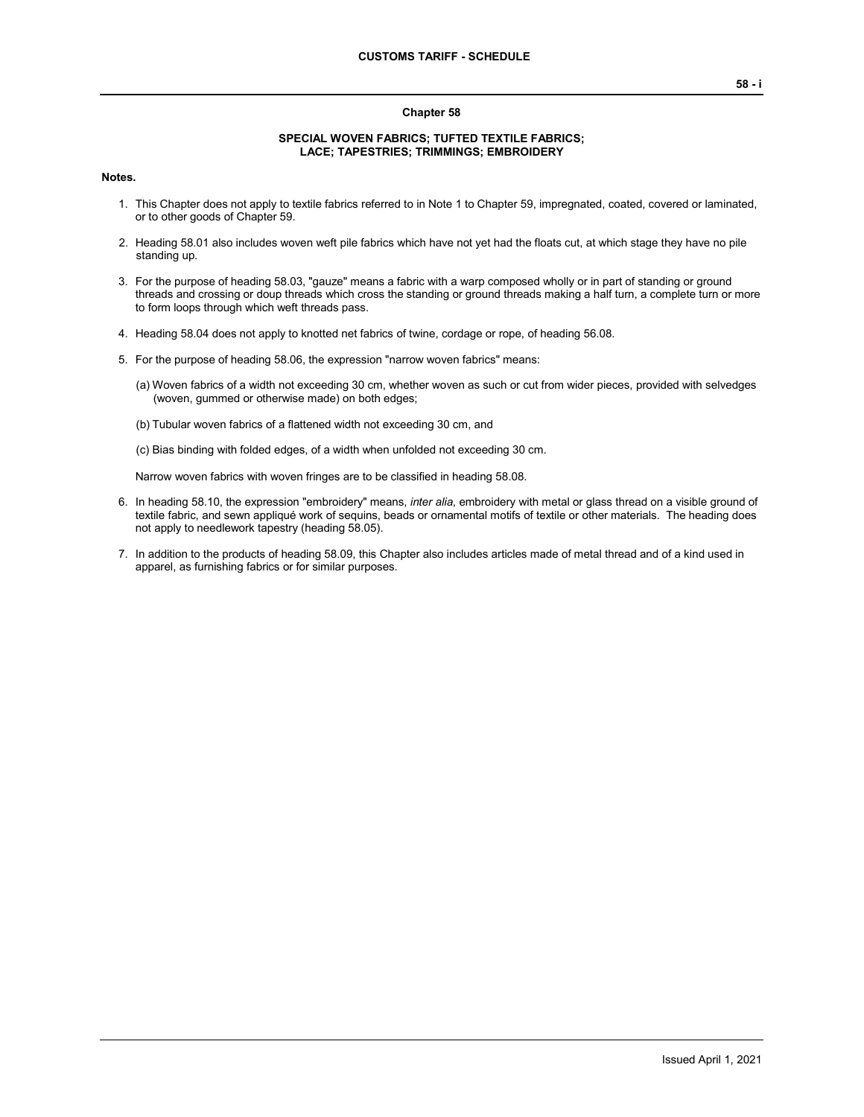## **Chapter 58**

## **SPECIAL WOVEN FABRICS; TUFTED TEXTILE FABRICS; LACE; TAPESTRIES; TRIMMINGS; EMBROIDERY**

**Notes.**

- 1. This Chapter does not apply to textile fabrics referred to in Note 1 to Chapter 59, impregnated, coated, covered or laminated, or to other goods of Chapter 59.
- 2. Heading 58.01 also includes woven weft pile fabrics which have not yet had the floats cut, at which stage they have no pile standing up.
- 3. For the purpose of heading 58.03, "gauze" means a fabric with a warp composed wholly or in part of standing or ground threads and crossing or doup threads which cross the standing or ground threads making a half turn, a complete turn or more to form loops through which weft threads pass.
- 4. Heading 58.04 does not apply to knotted net fabrics of twine, cordage or rope, of heading 56.08.
- 5. For the purpose of heading 58.06, the expression "narrow woven fabrics" means:
	- (a) Woven fabrics of a width not exceeding 30 cm, whether woven as such or cut from wider pieces, provided with selvedges (woven, gummed or otherwise made) on both edges;
	- (b) Tubular woven fabrics of a flattened width not exceeding 30 cm, and
	- (c) Bias binding with folded edges, of a width when unfolded not exceeding 30 cm.

Narrow woven fabrics with woven fringes are to be classified in heading 58.08.

- 6. In heading 58.10, the expression "embroidery" means, *inter alia*, embroidery with metal or glass thread on a visible ground of textile fabric, and sewn appliqué work of sequins, beads or ornamental motifs of textile or other materials. The heading does not apply to needlework tapestry (heading 58.05).
- 7. In addition to the products of heading 58.09, this Chapter also includes articles made of metal thread and of a kind used in apparel, as furnishing fabrics or for similar purposes.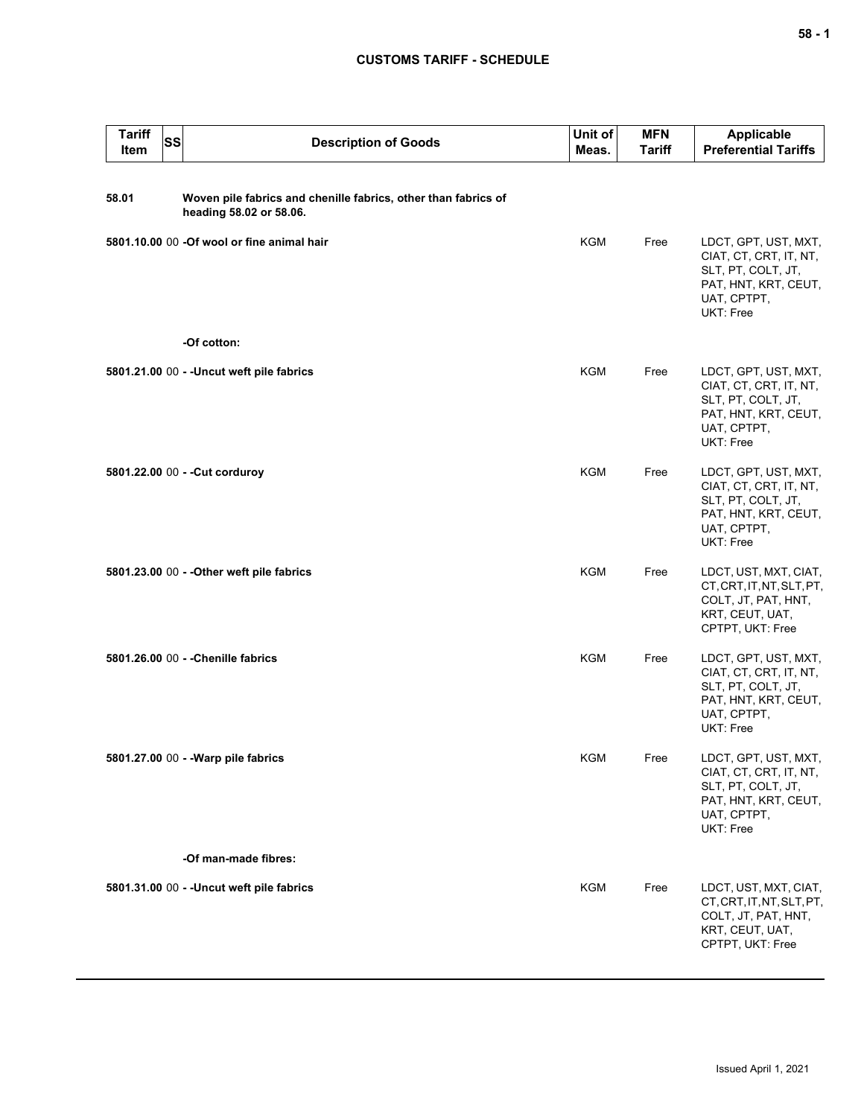## **CUSTOMS TARIFF - SCHEDULE**

| <b>Tariff</b><br><b>SS</b><br>Item | <b>Description of Goods</b>                                                               | Unit of<br>Meas. | <b>MFN</b><br><b>Tariff</b> | Applicable<br><b>Preferential Tariffs</b>                                                                                       |
|------------------------------------|-------------------------------------------------------------------------------------------|------------------|-----------------------------|---------------------------------------------------------------------------------------------------------------------------------|
| 58.01                              | Woven pile fabrics and chenille fabrics, other than fabrics of<br>heading 58.02 or 58.06. |                  |                             |                                                                                                                                 |
|                                    | 5801.10.00 00 -Of wool or fine animal hair                                                | <b>KGM</b>       | Free                        | LDCT, GPT, UST, MXT,<br>CIAT, CT, CRT, IT, NT,<br>SLT, PT, COLT, JT,<br>PAT, HNT, KRT, CEUT,<br>UAT, CPTPT,<br>UKT: Free        |
|                                    | -Of cotton:                                                                               |                  |                             |                                                                                                                                 |
|                                    | 5801.21.00 00 - - Uncut weft pile fabrics                                                 | <b>KGM</b>       | Free                        | LDCT, GPT, UST, MXT,<br>CIAT, CT, CRT, IT, NT,<br>SLT, PT, COLT, JT,<br>PAT, HNT, KRT, CEUT,<br>UAT, CPTPT,<br>UKT: Free        |
|                                    | 5801.22.00 00 - - Cut corduroy                                                            | KGM              | Free                        | LDCT, GPT, UST, MXT,<br>CIAT, CT, CRT, IT, NT,<br>SLT, PT, COLT, JT,<br>PAT, HNT, KRT, CEUT,<br>UAT, CPTPT,<br>UKT: Free        |
|                                    | 5801.23.00 00 - - Other weft pile fabrics                                                 | KGM              | Free                        | LDCT, UST, MXT, CIAT,<br>CT, CRT, IT, NT, SLT, PT,<br>COLT, JT, PAT, HNT,<br>KRT, CEUT, UAT,<br>CPTPT, UKT: Free                |
|                                    | 5801.26.00 00 - - Chenille fabrics                                                        | KGM              | Free                        | LDCT, GPT, UST, MXT,<br>CIAT, CT, CRT, IT, NT,<br>SLT, PT, COLT, JT,<br>PAT, HNT, KRT, CEUT,<br>UAT, CPTPT,<br><b>UKT: Free</b> |
|                                    | 5801.27.00 00 - - Warp pile fabrics                                                       | KGM              | Free                        | LDCT, GPT, UST, MXT,<br>CIAT, CT, CRT, IT, NT,<br>SLT, PT, COLT, JT,<br>PAT, HNT, KRT, CEUT,<br>UAT, CPTPT,<br>UKT: Free        |
|                                    | -Of man-made fibres:                                                                      |                  |                             |                                                                                                                                 |
|                                    | 5801.31.00 00 - - Uncut weft pile fabrics                                                 | KGM              | Free                        | LDCT, UST, MXT, CIAT,<br>CT, CRT, IT, NT, SLT, PT,<br>COLT, JT, PAT, HNT,<br>KRT, CEUT, UAT,<br>CPTPT, UKT: Free                |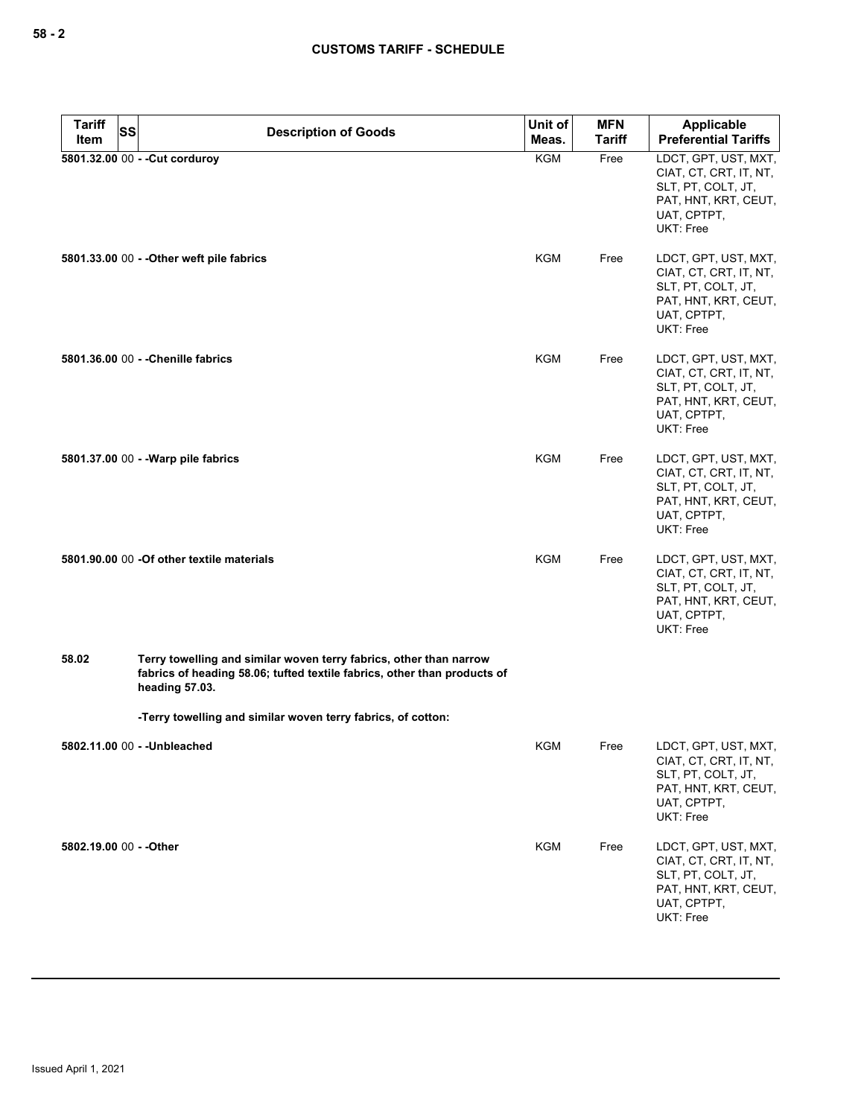| <b>Tariff</b><br><b>SS</b><br>Item | <b>Description of Goods</b>                                                                                                                                      | Unit of<br>Meas. | <b>MFN</b><br><b>Tariff</b> | Applicable<br><b>Preferential Tariffs</b>                                                                                |
|------------------------------------|------------------------------------------------------------------------------------------------------------------------------------------------------------------|------------------|-----------------------------|--------------------------------------------------------------------------------------------------------------------------|
|                                    | 5801.32.00 00 - - Cut corduroy                                                                                                                                   | <b>KGM</b>       | Free                        | LDCT, GPT, UST, MXT,<br>CIAT, CT, CRT, IT, NT,<br>SLT, PT, COLT, JT,<br>PAT, HNT, KRT, CEUT,<br>UAT, CPTPT,<br>UKT: Free |
|                                    | 5801.33.00 00 - - Other weft pile fabrics                                                                                                                        | KGM              | Free                        | LDCT, GPT, UST, MXT,<br>CIAT, CT, CRT, IT, NT,<br>SLT, PT, COLT, JT,<br>PAT, HNT, KRT, CEUT,<br>UAT, CPTPT,<br>UKT: Free |
|                                    | 5801.36.00 00 - - Chenille fabrics                                                                                                                               | KGM              | Free                        | LDCT, GPT, UST, MXT,<br>CIAT, CT, CRT, IT, NT,<br>SLT, PT, COLT, JT,<br>PAT, HNT, KRT, CEUT,<br>UAT, CPTPT,<br>UKT: Free |
|                                    | 5801.37.00 00 - - Warp pile fabrics                                                                                                                              | KGM              | Free                        | LDCT, GPT, UST, MXT,<br>CIAT, CT, CRT, IT, NT,<br>SLT, PT, COLT, JT,<br>PAT, HNT, KRT, CEUT,<br>UAT, CPTPT,<br>UKT: Free |
|                                    | 5801.90.00 00 - Of other textile materials                                                                                                                       | KGM              | Free                        | LDCT, GPT, UST, MXT,<br>CIAT, CT, CRT, IT, NT,<br>SLT, PT, COLT, JT,<br>PAT, HNT, KRT, CEUT,<br>UAT, CPTPT,<br>UKT: Free |
| 58.02                              | Terry towelling and similar woven terry fabrics, other than narrow<br>fabrics of heading 58.06; tufted textile fabrics, other than products of<br>heading 57.03. |                  |                             |                                                                                                                          |
|                                    | -Terry towelling and similar woven terry fabrics, of cotton:                                                                                                     |                  |                             |                                                                                                                          |
|                                    | 5802.11.00 00 - - Unbleached                                                                                                                                     | <b>KGM</b>       | Free                        | LDCT, GPT, UST, MXT,<br>CIAT, CT, CRT, IT, NT,<br>SLT, PT, COLT, JT,<br>PAT, HNT, KRT, CEUT,<br>UAT, CPTPT,<br>UKT: Free |
| 5802.19.00 00 - - Other            |                                                                                                                                                                  | <b>KGM</b>       | Free                        | LDCT, GPT, UST, MXT,<br>CIAT, CT, CRT, IT, NT,<br>SLT, PT, COLT, JT,<br>PAT, HNT, KRT, CEUT,<br>UAT, CPTPT,<br>UKT: Free |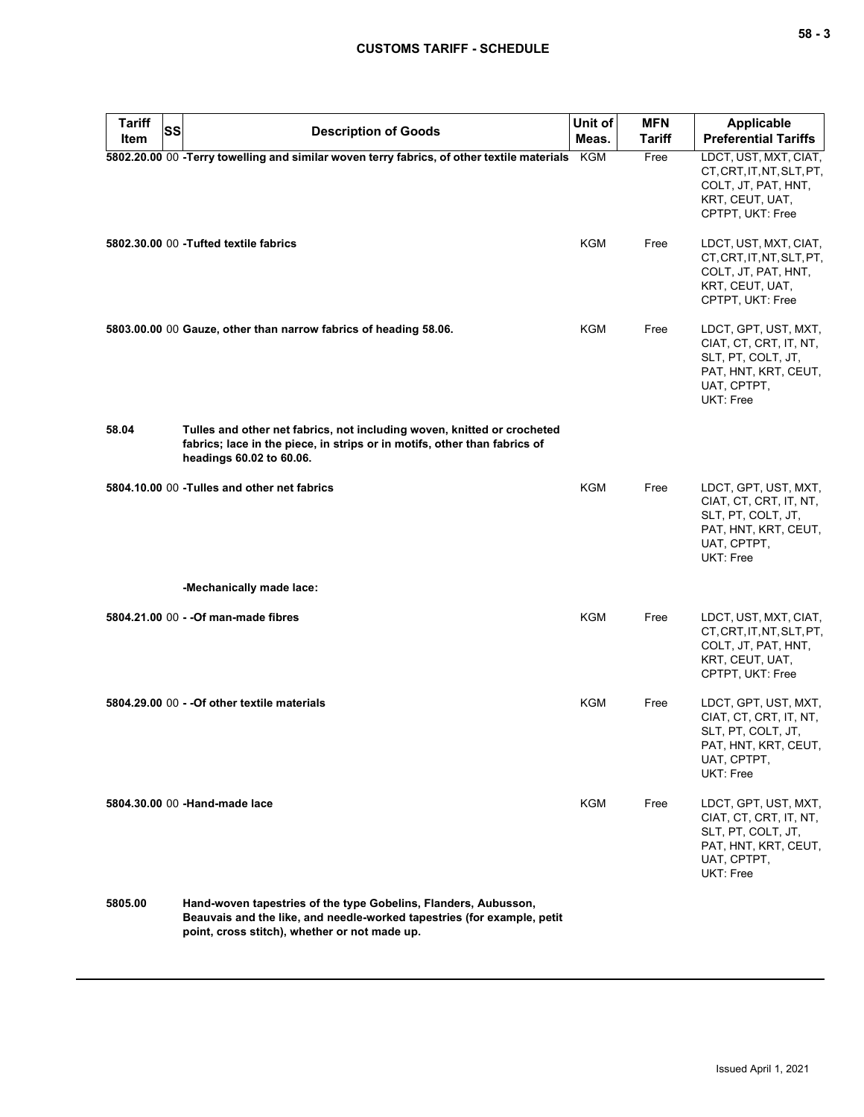| <b>Tariff</b><br><b>SS</b> |                                                                                                                                                                                             | Unit of    | <b>MFN</b>    | Applicable                                                                                                               |
|----------------------------|---------------------------------------------------------------------------------------------------------------------------------------------------------------------------------------------|------------|---------------|--------------------------------------------------------------------------------------------------------------------------|
| Item                       | <b>Description of Goods</b>                                                                                                                                                                 | Meas.      | <b>Tariff</b> | <b>Preferential Tariffs</b>                                                                                              |
|                            | 5802.20.00 00 -Terry towelling and similar woven terry fabrics, of other textile materials                                                                                                  | KGM        | Free          | LDCT, UST, MXT, CIAT,<br>CT, CRT, IT, NT, SLT, PT,<br>COLT, JT, PAT, HNT,<br>KRT, CEUT, UAT,<br>CPTPT, UKT: Free         |
|                            | 5802.30.00 00 - Tufted textile fabrics                                                                                                                                                      | KGM        | Free          | LDCT, UST, MXT, CIAT,<br>CT, CRT, IT, NT, SLT, PT,<br>COLT, JT, PAT, HNT,<br>KRT, CEUT, UAT,<br>CPTPT, UKT: Free         |
|                            | 5803.00.00 00 Gauze, other than narrow fabrics of heading 58.06.                                                                                                                            | KGM        | Free          | LDCT, GPT, UST, MXT,<br>CIAT, CT, CRT, IT, NT,<br>SLT, PT, COLT, JT,<br>PAT, HNT, KRT, CEUT,<br>UAT, CPTPT,<br>UKT: Free |
| 58.04                      | Tulles and other net fabrics, not including woven, knitted or crocheted<br>fabrics; lace in the piece, in strips or in motifs, other than fabrics of<br>headings 60.02 to 60.06.            |            |               |                                                                                                                          |
|                            | 5804.10.00 00 - Tulles and other net fabrics                                                                                                                                                | <b>KGM</b> | Free          | LDCT, GPT, UST, MXT,<br>CIAT, CT, CRT, IT, NT,<br>SLT, PT, COLT, JT,<br>PAT, HNT, KRT, CEUT,<br>UAT, CPTPT,<br>UKT: Free |
|                            | -Mechanically made lace:                                                                                                                                                                    |            |               |                                                                                                                          |
|                            | 5804.21.00 00 - - Of man-made fibres                                                                                                                                                        | KGM        | Free          | LDCT, UST, MXT, CIAT,<br>CT, CRT, IT, NT, SLT, PT,<br>COLT, JT, PAT, HNT,<br>KRT, CEUT, UAT,<br>CPTPT, UKT: Free         |
|                            | 5804.29.00 00 - - Of other textile materials                                                                                                                                                | KGM        | Free          | LDCT, GPT, UST, MXT,<br>CIAT, CT, CRT, IT, NT,<br>SLT, PT, COLT, JT,<br>PAT, HNT, KRT, CEUT,<br>UAT, CPTPT,<br>UKT: Free |
|                            | 5804.30.00 00 -Hand-made lace                                                                                                                                                               | KGM        | Free          | LDCT, GPT, UST, MXT,<br>CIAT, CT, CRT, IT, NT,<br>SLT, PT, COLT, JT,<br>PAT, HNT, KRT, CEUT,<br>UAT, CPTPT,<br>UKT: Free |
| 5805.00                    | Hand-woven tapestries of the type Gobelins, Flanders, Aubusson,<br>Beauvais and the like, and needle-worked tapestries (for example, petit<br>point, cross stitch), whether or not made up. |            |               |                                                                                                                          |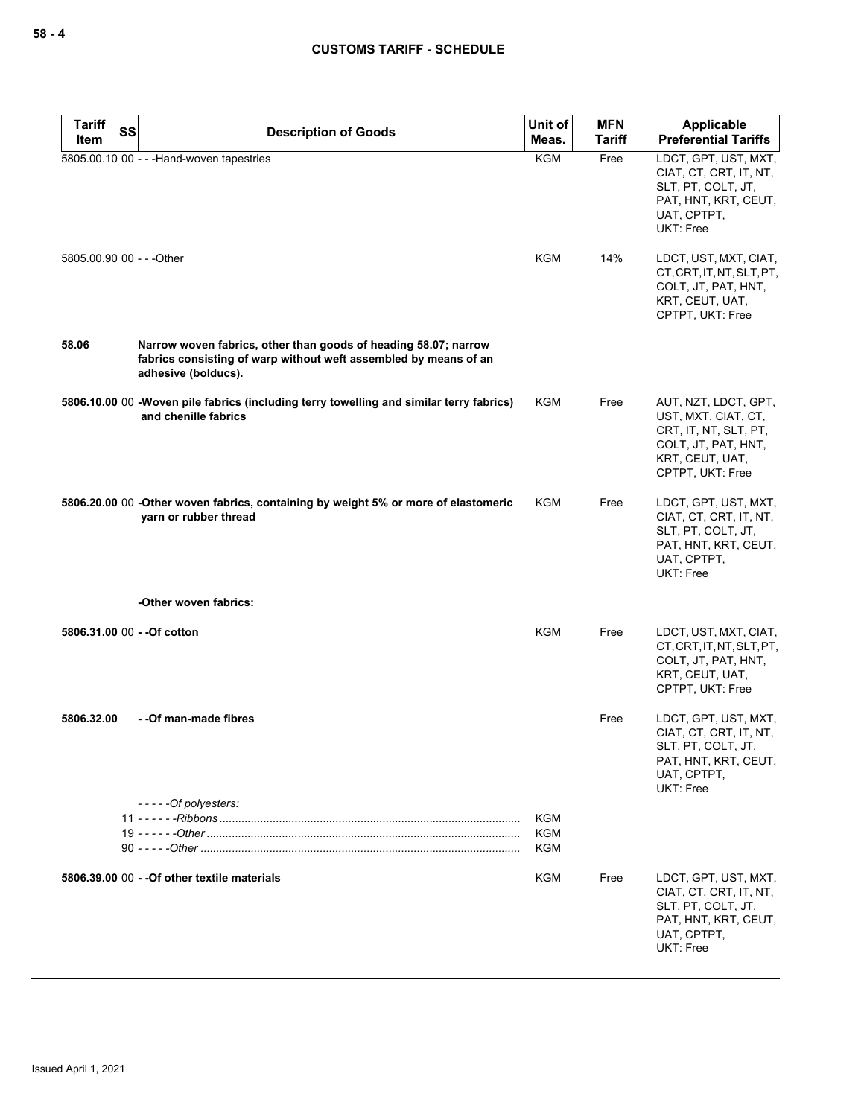| <b>Tariff</b><br><b>SS</b><br>Item | <b>Description of Goods</b>                                                                                                                                | Unit of<br>Meas.                | <b>MFN</b><br><b>Tariff</b> | Applicable<br><b>Preferential Tariffs</b>                                                                                          |
|------------------------------------|------------------------------------------------------------------------------------------------------------------------------------------------------------|---------------------------------|-----------------------------|------------------------------------------------------------------------------------------------------------------------------------|
|                                    | 5805.00.10 00 - - - Hand-woven tapestries                                                                                                                  | <b>KGM</b>                      | Free                        | LDCT, GPT, UST, MXT,<br>CIAT, CT, CRT, IT, NT,<br>SLT, PT, COLT, JT,<br>PAT, HNT, KRT, CEUT,<br>UAT, CPTPT,<br>UKT: Free           |
| 5805.00.90 00 - - - Other          |                                                                                                                                                            | <b>KGM</b>                      | 14%                         | LDCT, UST, MXT, CIAT,<br>CT, CRT, IT, NT, SLT, PT,<br>COLT, JT, PAT, HNT,<br>KRT, CEUT, UAT,<br>CPTPT, UKT: Free                   |
| 58.06                              | Narrow woven fabrics, other than goods of heading 58.07; narrow<br>fabrics consisting of warp without weft assembled by means of an<br>adhesive (bolducs). |                                 |                             |                                                                                                                                    |
|                                    | 5806.10.00 00 - Woven pile fabrics (including terry towelling and similar terry fabrics)<br>and chenille fabrics                                           | <b>KGM</b>                      | Free                        | AUT, NZT, LDCT, GPT,<br>UST, MXT, CIAT, CT,<br>CRT, IT, NT, SLT, PT,<br>COLT, JT, PAT, HNT,<br>KRT, CEUT, UAT,<br>CPTPT, UKT: Free |
|                                    | 5806.20.00 00 -Other woven fabrics, containing by weight 5% or more of elastomeric<br>varn or rubber thread                                                | KGM                             | Free                        | LDCT, GPT, UST, MXT,<br>CIAT, CT, CRT, IT, NT,<br>SLT, PT, COLT, JT,<br>PAT, HNT, KRT, CEUT,<br>UAT, CPTPT,<br>UKT: Free           |
|                                    | -Other woven fabrics:                                                                                                                                      |                                 |                             |                                                                                                                                    |
| 5806.31.00 00 - - Of cotton        |                                                                                                                                                            | <b>KGM</b>                      | Free                        | LDCT, UST, MXT, CIAT,<br>CT, CRT, IT, NT, SLT, PT,<br>COLT, JT, PAT, HNT,<br>KRT, CEUT, UAT,<br>CPTPT, UKT: Free                   |
| 5806.32.00                         | - - Of man-made fibres                                                                                                                                     |                                 | Free                        | LDCT, GPT, UST, MXT,<br>CIAT, CT, CRT, IT, NT,<br>SLT, PT, COLT, JT,<br>PAT, HNT, KRT, CEUT,<br>UAT, CPTPT,<br><b>UKT: Free</b>    |
|                                    | -----Of polyesters:                                                                                                                                        | <b>KGM</b><br><b>KGM</b><br>KGM |                             |                                                                                                                                    |
|                                    | 5806.39.00 00 - - Of other textile materials                                                                                                               | <b>KGM</b>                      | Free                        | LDCT, GPT, UST, MXT,<br>CIAT, CT, CRT, IT, NT,<br>SLT, PT, COLT, JT,<br>PAT, HNT, KRT, CEUT,<br>UAT, CPTPT,<br>UKT: Free           |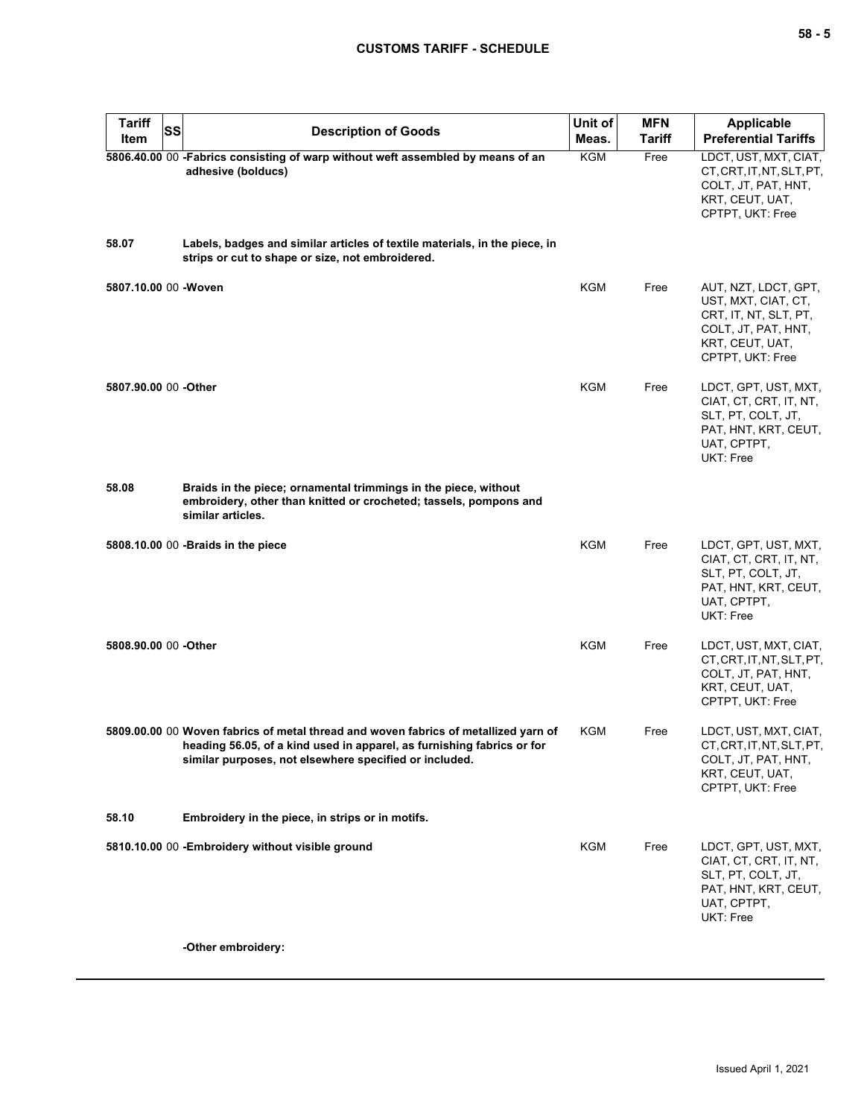| <b>Tariff</b>         | SS<br><b>Description of Goods</b>                                                                                                                                                                                       | Unit of    | <b>MFN</b>    | <b>Applicable</b>                                                                                                                  |
|-----------------------|-------------------------------------------------------------------------------------------------------------------------------------------------------------------------------------------------------------------------|------------|---------------|------------------------------------------------------------------------------------------------------------------------------------|
| Item                  |                                                                                                                                                                                                                         | Meas.      | <b>Tariff</b> | <b>Preferential Tariffs</b>                                                                                                        |
|                       | 5806.40.00 00 -Fabrics consisting of warp without weft assembled by means of an<br>adhesive (bolducs)                                                                                                                   | <b>KGM</b> | Free          | LDCT, UST, MXT, CIAT,<br>CT, CRT, IT, NT, SLT, PT,<br>COLT, JT, PAT, HNT,<br>KRT, CEUT, UAT,<br>CPTPT, UKT: Free                   |
| 58.07                 | Labels, badges and similar articles of textile materials, in the piece, in<br>strips or cut to shape or size, not embroidered.                                                                                          |            |               |                                                                                                                                    |
| 5807.10.00 00 - Woven |                                                                                                                                                                                                                         | <b>KGM</b> | Free          | AUT, NZT, LDCT, GPT,<br>UST, MXT, CIAT, CT,<br>CRT, IT, NT, SLT, PT,<br>COLT, JT, PAT, HNT,<br>KRT, CEUT, UAT,<br>CPTPT, UKT: Free |
| 5807.90.00 00 -Other  |                                                                                                                                                                                                                         | <b>KGM</b> | Free          | LDCT, GPT, UST, MXT,<br>CIAT, CT, CRT, IT, NT,<br>SLT, PT, COLT, JT,<br>PAT, HNT, KRT, CEUT,<br>UAT, CPTPT,<br><b>UKT: Free</b>    |
| 58.08                 | Braids in the piece; ornamental trimmings in the piece, without<br>embroidery, other than knitted or crocheted; tassels, pompons and<br>similar articles.                                                               |            |               |                                                                                                                                    |
|                       | 5808.10.00 00 -Braids in the piece                                                                                                                                                                                      | <b>KGM</b> | Free          | LDCT, GPT, UST, MXT,<br>CIAT, CT, CRT, IT, NT,<br>SLT, PT, COLT, JT,<br>PAT, HNT, KRT, CEUT,<br>UAT, CPTPT,<br><b>UKT: Free</b>    |
| 5808.90.00 00 -Other  |                                                                                                                                                                                                                         | <b>KGM</b> | Free          | LDCT, UST, MXT, CIAT,<br>CT, CRT, IT, NT, SLT, PT,<br>COLT, JT, PAT, HNT,<br>KRT, CEUT, UAT,<br>CPTPT, UKT: Free                   |
|                       | 5809.00.00 00 Woven fabrics of metal thread and woven fabrics of metallized yarn of<br>heading 56.05, of a kind used in apparel, as furnishing fabrics or for<br>similar purposes, not elsewhere specified or included. | KGM        | Free          | LDCT, UST, MXT, CIAT,<br>CT, CRT, IT, NT, SLT, PT,<br>COLT, JT, PAT, HNT,<br>KRT, CEUT, UAT,<br>CPTPT, UKT: Free                   |
| 58.10                 | Embroidery in the piece, in strips or in motifs.                                                                                                                                                                        |            |               |                                                                                                                                    |
|                       | 5810.10.00 00 -Embroidery without visible ground                                                                                                                                                                        | <b>KGM</b> | Free          | LDCT, GPT, UST, MXT,<br>CIAT, CT, CRT, IT, NT,<br>SLT, PT, COLT, JT,<br>PAT, HNT, KRT, CEUT,<br>UAT, CPTPT,<br>UKT: Free           |
|                       | -Other embroidery:                                                                                                                                                                                                      |            |               |                                                                                                                                    |